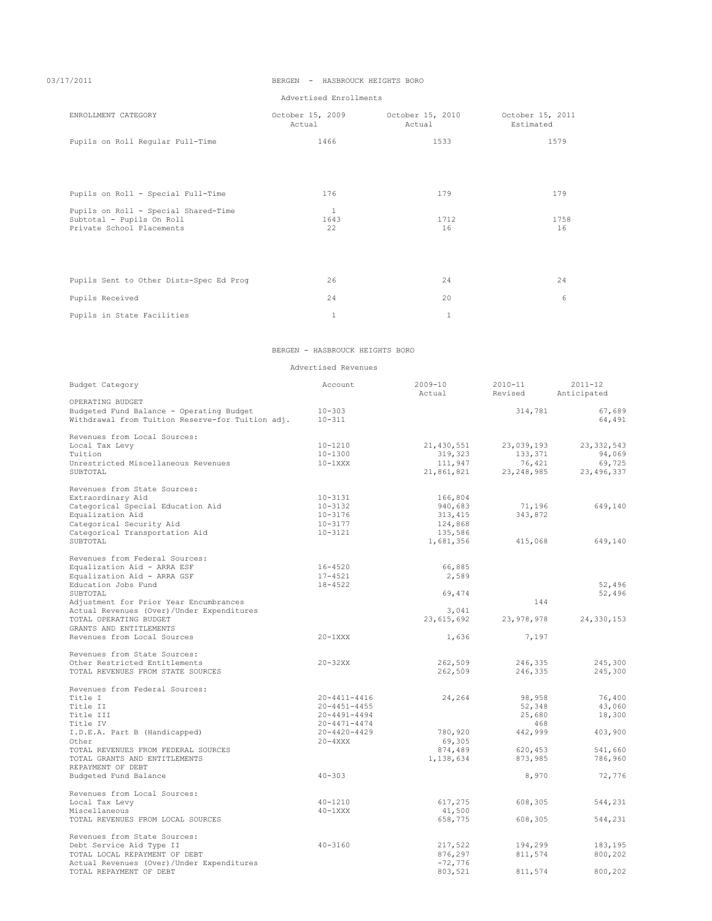# 03/17/2011 BERGEN - HASBROUCK HEIGHTS BORO

Advertised Enrollments

| ENROLLMENT CATEGORY                     | October 15, 2009<br>Actual | October 15, 2010<br>Actual | October 15, 2011<br>Estimated |
|-----------------------------------------|----------------------------|----------------------------|-------------------------------|
| Pupils on Roll Regular Full-Time        | 1466                       | 1533                       | 1579                          |
|                                         |                            |                            |                               |
|                                         |                            |                            |                               |
| Pupils on Roll - Special Full-Time      | 176                        | 179                        | 179                           |
| Pupils on Roll - Special Shared-Time    | $\mathbf{1}$               |                            |                               |
| Subtotal - Pupils On Roll               | 1643                       | 1712                       | 1758                          |
| Private School Placements               | 22                         | 16                         | 16                            |
|                                         |                            |                            |                               |
| Pupils Sent to Other Dists-Spec Ed Prog | 26                         | 24                         | 24                            |
| Pupils Received                         | 24                         | 20                         | 6                             |
| Pupils in State Facilities              | $\mathbf{1}$               | $\mathbf{1}$               |                               |

## BERGEN - HASBROUCK HEIGHTS BORO

Advertised Revenues

| Budget Category                                                                              | Account                  | $2009 - 10$<br>Actual | $2010 - 11$<br>Revised | $2011 - 12$<br>Anticipated |
|----------------------------------------------------------------------------------------------|--------------------------|-----------------------|------------------------|----------------------------|
| OPERATING BUDGET                                                                             |                          |                       |                        |                            |
| Budgeted Fund Balance - Operating Budget<br>Withdrawal from Tuition Reserve-for Tuition adj. | $10 - 303$<br>$10 - 311$ |                       | 314,781                | 67,689<br>64,491           |
| Revenues from Local Sources:                                                                 |                          |                       |                        |                            |
| Local Tax Levy                                                                               | $10 - 1210$              | 21,430,551            | 23,039,193             | 23, 332, 543               |
| Tuition                                                                                      | $10 - 1300$              | 319,323               | 133,371                | 94,069                     |
| Unrestricted Miscellaneous Revenues                                                          | $10-1XXX$                | 111,947               | 76,421                 | 69,725                     |
| SUBTOTAL                                                                                     |                          | 21,861,821            | 23, 248, 985           | 23, 496, 337               |
| Revenues from State Sources:                                                                 |                          |                       |                        |                            |
| Extraordinary Aid                                                                            | $10 - 3131$              | 166,804               |                        |                            |
| Categorical Special Education Aid                                                            | $10 - 3132$              | 940,683               | 71,196                 | 649,140                    |
| Equalization Aid                                                                             | $10 - 3176$              | 313, 415              | 343,872                |                            |
| Categorical Security Aid                                                                     | $10 - 3177$              | 124,868               |                        |                            |
| Categorical Transportation Aid                                                               | $10 - 3121$              | 135,586               |                        |                            |
| SUBTOTAL                                                                                     |                          | 1,681,356             | 415,068                | 649,140                    |
| Revenues from Federal Sources:                                                               |                          |                       |                        |                            |
| Equalization Aid - ARRA ESF                                                                  | $16 - 4520$              | 66,885                |                        |                            |
| Equalization Aid - ARRA GSF                                                                  | $17 - 4521$              | 2,589                 |                        |                            |
| Education Jobs Fund                                                                          | $18 - 4522$              |                       |                        | 52,496                     |
| SUBTOTAL                                                                                     |                          | 69,474                |                        | 52,496                     |
| Adjustment for Prior Year Encumbrances                                                       |                          |                       | 144                    |                            |
| Actual Revenues (Over)/Under Expenditures                                                    |                          | 3,041                 |                        |                            |
| TOTAL OPERATING BUDGET                                                                       |                          | 23,615,692            | 23, 978, 978           | 24,330,153                 |
| GRANTS AND ENTITLEMENTS                                                                      |                          |                       |                        |                            |
| Revenues from Local Sources                                                                  | $20-1XXX$                | 1,636                 | 7,197                  |                            |
| Revenues from State Sources:                                                                 |                          |                       |                        |                            |
| Other Restricted Entitlements                                                                | $20 - 32XX$              | 262,509               | 246,335                | 245,300                    |
| TOTAL REVENUES FROM STATE SOURCES                                                            |                          | 262,509               | 246,335                | 245,300                    |
| Revenues from Federal Sources:                                                               |                          |                       |                        |                            |
| Title I                                                                                      | $20 - 4411 - 4416$       | 24,264                | 98,958                 | 76,400                     |
| Title II                                                                                     | $20 - 4451 - 4455$       |                       | 52,348                 | 43,060                     |
| Title III                                                                                    | $20 - 4491 - 4494$       |                       | 25,680                 | 18,300                     |
| Title IV                                                                                     | $20 - 4471 - 4474$       |                       | 468                    |                            |
| I.D.E.A. Part B (Handicapped)                                                                | $20 - 4420 - 4429$       | 780,920               | 442,999                | 403,900                    |
| Other                                                                                        | $20 - 4XXX$              | 69,305                |                        |                            |
| TOTAL REVENUES FROM FEDERAL SOURCES                                                          |                          | 874,489               | 620,453                | 541,660                    |
| TOTAL GRANTS AND ENTITLEMENTS<br>REPAYMENT OF DEBT                                           |                          | 1,138,634             | 873,985                | 786,960                    |
| Budgeted Fund Balance                                                                        | $40 - 303$               |                       | 8,970                  | 72,776                     |
|                                                                                              |                          |                       |                        |                            |
| Revenues from Local Sources:                                                                 |                          |                       |                        |                            |
| Local Tax Levy                                                                               | $40 - 1210$              | 617,275               | 608,305                | 544,231                    |
| Miscellaneous                                                                                | $40-1XXX$                | 41,500                |                        |                            |
| TOTAL REVENUES FROM LOCAL SOURCES                                                            |                          | 658,775               | 608,305                | 544,231                    |
| Revenues from State Sources:                                                                 |                          |                       |                        |                            |
| Debt Service Aid Type II                                                                     | $40 - 3160$              | 217,522               | 194,299                | 183,195                    |
| TOTAL LOCAL REPAYMENT OF DEBT                                                                |                          | 876,297               | 811,574                | 800,202                    |
| Actual Revenues (Over)/Under Expenditures                                                    |                          | $-72,776$             |                        |                            |
| TOTAL REPAYMENT OF DEBT                                                                      |                          | 803,521               | 811,574                | 800,202                    |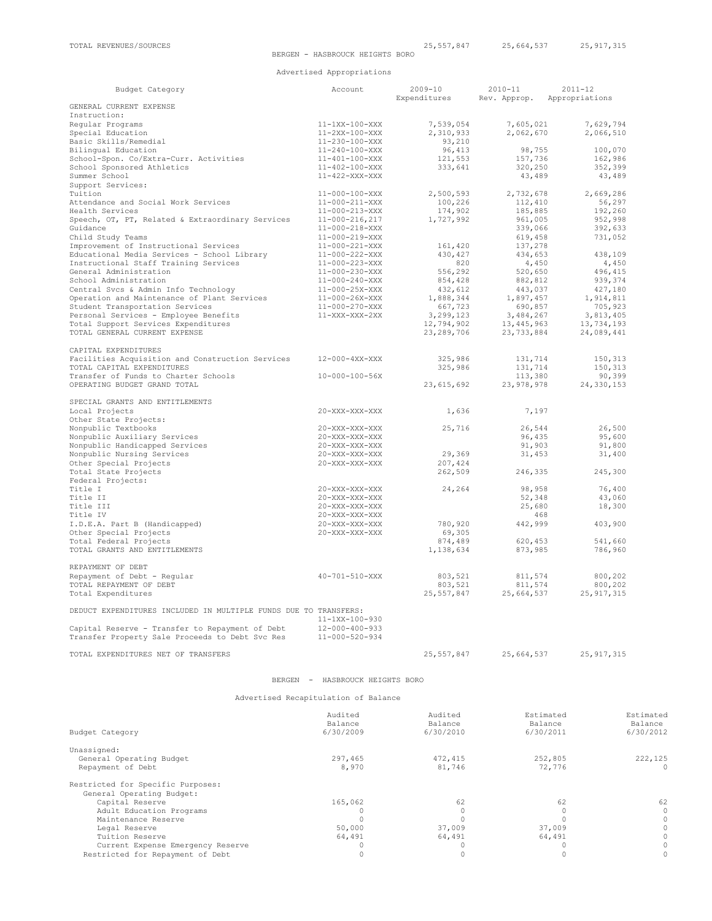Advertised Appropriations

| Budget Category                                                              | Account                              | $2009 - 10$<br>Expenditures | $2010 - 11$<br>Rev. Approp.  | $2011 - 12$<br>Appropriations |                |
|------------------------------------------------------------------------------|--------------------------------------|-----------------------------|------------------------------|-------------------------------|----------------|
| GENERAL CURRENT EXPENSE                                                      |                                      |                             |                              |                               |                |
| Instruction:                                                                 |                                      |                             |                              |                               |                |
| Regular Programs                                                             | 11-1XX-100-XXX                       | 7,539,054                   | 7,605,021                    | 7,629,794                     |                |
| Special Education                                                            | 11-2XX-100-XXX                       | 2,310,933                   | 2,062,670                    | 2,066,510                     |                |
| Basic Skills/Remedial                                                        | 11-230-100-XXX                       | 93,210                      |                              |                               |                |
| Bilingual Education                                                          | $11 - 240 - 100 - XXX$               | 96,413                      | 98,755                       | 100,070                       |                |
| School-Spon. Co/Extra-Curr. Activities                                       | $11 - 401 - 100 - XXX$               | 121,553                     | 157,736                      | 162,986                       |                |
| School Sponsored Athletics                                                   | 11-402-100-XXX                       | 333,641                     | 320,250                      | 352,399                       |                |
| Summer School<br>Support Services:                                           | $11-422-XXX-XXX$                     |                             | 43,489                       | 43,489                        |                |
| Tuition                                                                      | $11 - 000 - 100 - XXX$               | 2,500,593                   | 2,732,678                    | 2,669,286                     |                |
| Attendance and Social Work Services                                          | $11 - 000 - 211 - XXX$               | 100,226                     | 112,410                      | 56,297                        |                |
| Health Services                                                              | $11 - 000 - 213 - XXX$               | 174,902                     | 185,885                      | 192,260                       |                |
| Speech, OT, PT, Related & Extraordinary Services                             | $11 - 000 - 216, 217$                | 1,727,992                   | 961,005                      | 952,998                       |                |
| Guidance                                                                     | $11 - 000 - 218 - XXX$               |                             | 339,066                      | 392,633                       |                |
| Child Study Teams                                                            | 11-000-219-XXX                       |                             | 619,458                      | 731,052                       |                |
| Improvement of Instructional Services                                        | $11 - 000 - 221 - XXX$               | 161,420                     | 137,278                      |                               |                |
| Educational Media Services - School Library                                  | $11 - 000 - 222 - XXX$               | 430, 427                    | 434,653                      | 438,109                       |                |
| Instructional Staff Training Services                                        | $11 - 000 - 223 - XXX$               | 820                         | 4,450                        | 4,450                         |                |
| General Administration                                                       | $11 - 000 - 230 - XXX$               | 556,292                     | 520,650                      | 496,415                       |                |
| School Administration                                                        | $11 - 000 - 240 - XXX$               | 854,428                     | 882,812                      | 939,374                       |                |
| Central Svcs & Admin Info Technology                                         | $11 - 000 - 25X - XXX$               | 432,612                     | 443,037                      | 427,180                       |                |
| Operation and Maintenance of Plant Services                                  | $11 - 000 - 26X - XXX$               | 1,888,344                   | 1,897,457                    | 1,914,811                     |                |
| Student Transportation Services                                              | 11-000-270-XXX                       | 667,723                     | 690,857                      | 705,923                       |                |
| Personal Services - Employee Benefits<br>Total Support Services Expenditures | $11-XXX-XXX-2XX$                     | 3, 299, 123                 | 3,484,267                    | 3,813,405                     |                |
| TOTAL GENERAL CURRENT EXPENSE                                                |                                      | 12,794,902<br>23, 289, 706  | 13, 445, 963<br>23, 733, 884 | 13,734,193<br>24,089,441      |                |
|                                                                              |                                      |                             |                              |                               |                |
| CAPITAL EXPENDITURES                                                         |                                      |                             |                              |                               |                |
| Facilities Acquisition and Construction Services                             | 12-000-4XX-XXX                       | 325,986                     | 131,714                      | 150,313                       |                |
| TOTAL CAPITAL EXPENDITURES                                                   |                                      | 325,986                     | 131,714                      | 150,313                       |                |
| Transfer of Funds to Charter Schools                                         | 10-000-100-56X                       |                             | 113,380                      | 90,399                        |                |
| OPERATING BUDGET GRAND TOTAL                                                 |                                      | 23,615,692                  | 23,978,978                   | 24,330,153                    |                |
|                                                                              |                                      |                             |                              |                               |                |
| SPECIAL GRANTS AND ENTITLEMENTS                                              |                                      |                             |                              |                               |                |
| Local Projects                                                               | 20-XXX-XXX-XXX                       | 1,636                       | 7,197                        |                               |                |
| Other State Projects:                                                        |                                      |                             |                              |                               |                |
| Nonpublic Textbooks                                                          | $20 - XXX - XXX - XXX$               | 25,716                      | 26,544                       | 26,500                        |                |
| Nonpublic Auxiliary Services                                                 | 20-XXX-XXX-XXX                       |                             | 96,435                       | 95,600                        |                |
| Nonpublic Handicapped Services                                               | 20-XXX-XXX-XXX                       |                             | 91,903                       | 91,800                        |                |
| Nonpublic Nursing Services<br>Other Special Projects                         | 20-XXX-XXX-XXX<br>20-XXX-XXX-XXX     | 29,369<br>207,424           | 31,453                       | 31,400                        |                |
| Total State Projects                                                         |                                      | 262,509                     | 246,335                      | 245,300                       |                |
| Federal Projects:                                                            |                                      |                             |                              |                               |                |
| Title I                                                                      | 20-XXX-XXX-XXX                       | 24,264                      | 98,958                       | 76,400                        |                |
| Title II                                                                     | 20-XXX-XXX-XXX                       |                             | 52,348                       | 43,060                        |                |
| Title III                                                                    | 20-XXX-XXX-XXX                       |                             | 25,680                       | 18,300                        |                |
| Title IV                                                                     | 20-XXX-XXX-XXX                       |                             | 468                          |                               |                |
| I.D.E.A. Part B (Handicapped)                                                | 20-XXX-XXX-XXX                       | 780,920                     | 442,999                      | 403,900                       |                |
| Other Special Projects                                                       | $20 - XXX - XXX - XXX$               | 69,305                      |                              |                               |                |
| Total Federal Projects                                                       |                                      | 874,489                     | 620,453                      | 541,660                       |                |
| TOTAL GRANTS AND ENTITLEMENTS                                                |                                      | 1,138,634                   | 873,985                      | 786,960                       |                |
|                                                                              |                                      |                             |                              |                               |                |
| REPAYMENT OF DEBT                                                            |                                      |                             |                              |                               |                |
| Repayment of Debt - Regular                                                  | 40-701-510-XXX                       | 803,521                     | 811,574                      | 800,202                       |                |
| TOTAL REPAYMENT OF DEBT                                                      |                                      | 803,521                     | 811,574                      | 800,202                       |                |
| Total Expenditures                                                           |                                      | 25,557,847                  | 25,664,537                   | 25, 917, 315                  |                |
|                                                                              |                                      |                             |                              |                               |                |
| DEDUCT EXPENDITURES INCLUDED IN MULTIPLE FUNDS DUE TO TRANSFERS:             | 11-1XX-100-930                       |                             |                              |                               |                |
| Capital Reserve - Transfer to Repayment of Debt                              | 12-000-400-933                       |                             |                              |                               |                |
| Transfer Property Sale Proceeds to Debt Svc Res                              | 11-000-520-934                       |                             |                              |                               |                |
|                                                                              |                                      |                             |                              |                               |                |
| TOTAL EXPENDITURES NET OF TRANSFERS                                          |                                      | 25,557,847                  | 25,664,537                   | 25, 917, 315                  |                |
|                                                                              |                                      |                             |                              |                               |                |
|                                                                              | BERGEN - HASBROUCK HEIGHTS BORO      |                             |                              |                               |                |
|                                                                              |                                      |                             |                              |                               |                |
|                                                                              | Advertised Recapitulation of Balance |                             |                              |                               |                |
|                                                                              | Audited                              | Audited                     | Estimated                    |                               | Estimated      |
|                                                                              | Balance                              | Balance                     | Balance                      |                               | Balance        |
| Budget Category                                                              | 6/30/2009                            | 6/30/2010                   | 6/30/2011                    |                               | 6/30/2012      |
|                                                                              |                                      |                             |                              |                               |                |
| Unassigned:                                                                  |                                      |                             |                              |                               |                |
| General Operating Budget<br>Repayment of Debt                                | 297,465<br>8,970                     | 472,415<br>81,746           |                              | 252,805<br>72,776             | 222,125<br>0   |
|                                                                              |                                      |                             |                              |                               |                |
| Restricted for Specific Purposes:                                            |                                      |                             |                              |                               |                |
| General Operating Budget:                                                    |                                      |                             |                              |                               |                |
| Capital Reserve                                                              | 165,062                              | 62                          |                              | 62                            | 62             |
| Adult Education Programs                                                     | $\Omega$                             | $\circ$                     |                              | $\Omega$                      |                |
| Maintenance Reserve                                                          | $\Omega$                             | $\Omega$                    |                              | $\Omega$                      | 0              |
| Legal Reserve                                                                | 50,000                               | 37,009                      |                              | 37,009                        | $\overline{0}$ |
| Tuition Reserve                                                              | 64,491                               | 64,491                      |                              | 64,491                        | $\overline{0}$ |
| Current Expense Emergency Reserve                                            | $\Omega$                             | $\circ$                     |                              | $\circ$                       | $\overline{0}$ |
| Restricted for Repayment of Debt                                             | $\circ$                              | $\circ$                     |                              | $\circ$                       | $\Omega$       |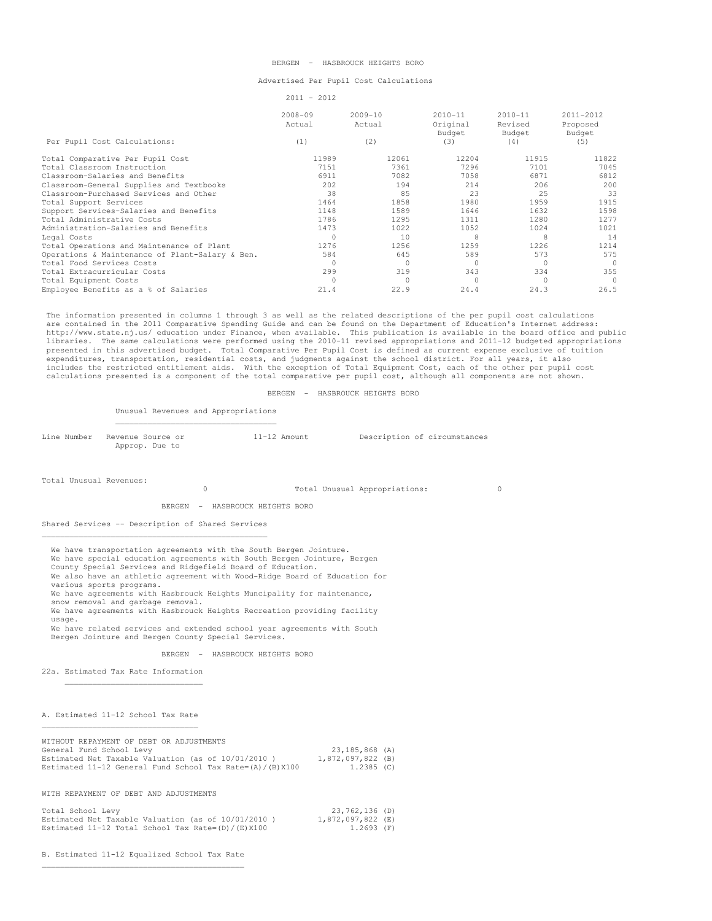### BERGEN - HASBROUCK HEIGHTS BORO

### Advertised Per Pupil Cost Calculations

2011 - 2012

 $\begin{tabular}{lcccc} 2008-09 & & 2009-10 & & 2010-11 & & 2010-11 & & 2011-2012 \\ \text{Actual} & \text{Actual} & \text{Original} & \text{Revised} & \text{Proposed} \\ & & \text{Dudget} & \text{Budref} & \end{tabular}$  Actual Actual Original Revised Proposed Budget Budget Budget Per Pupil Cost Calculations: (1) (2) (3) (3) Total Comparative Per Pupil Cost 11989 12061 12204 11915 11822 Potal Classroom Instruction 1996 1015 1015 1015 1016 7058 7296 7101 7045<br>Classroom-Salaries and Benefits 1997 1051 1082 7058 6871 6812 Classroom-Salaries and Benefits 6911 7082 7058 6871 6812 Classroom-General Supplies and Textbooks 202 194 214 206 200<br>Classroom-Furchased Services and Other 200 200 200 214 214 206 25 Classroom-Purchased Services and Other 38 85 23 25 33 Total Support Services 1464 1858 1980 1959 1915 Support Services-Salaries and Benefits 1148 1589 1646 1632 1598 Total Administrative Costs 1786 1295 1311 1280 1277 Administration-Salaries and Benefits 1473 1022 1052 1024 1021 1024 1021 Legal Costs 0 10 8 8 14 Legal Costs<br>
Total Operations and Maintenance of Plant 1276 1256 1256 1259 1226 1214<br>
Operations & Maintenance of Plant-Salary & Ben. 584 545 589 573 573 Operations & Maintenance of Plant-Salary & Ben. 584 545 589 573 575<br>
Total Food Services Costs Total Food Services Costs 0 0 0 0 0 Total Extracurricular Costs 299 319 343 334 355 Total Equipment Costs 0 0 0 0 0 Employee Benefits as a % of Salaries

 The information presented in columns 1 through 3 as well as the related descriptions of the per pupil cost calculations are contained in the 2011 Comparative Spending Guide and can be found on the Department of Education's Internet address: http://www.state.nj.us/ education under Finance, when available. This publication is available in the board office and public<br>libraries. The same calculations were performed using the 2010-11 revised appropriations and 201 presented in this advertised budget. Total Comparative Per Pupil Cost is defined as current expense exclusive of tuition expenditures, transportation, residential costs, and judgments against the school district. For all years, it also includes the restricted entitlement aids. With the exception of Total Equipment Cost, each of the other per pupil cost<br>calculations presented is a component of the total comparative per pupil cost, although all components

#### BERGEN - HASBROUCK HEIGHTS BORO

Unusual Revenues and Appropriations

| Line Number - Revenue Source or | 11-12 Amount | Description of circumstances |
|---------------------------------|--------------|------------------------------|
| Approp. Due to                  |              |                              |

Total Unusual Revenues:

0 Total Unusual Appropriations: 0

BERGEN - HASBROUCK HEIGHTS BORO

Shared Services -- Description of Shared Services  $\mathcal{L}_\text{max}$  and the contract of the contract of the contract of the contract of the contract of the contract of the contract of the contract of the contract of the contract of the contract of the contract of the contrac

We have transportation agreements with the South Bergen Jointure.

We have special education agreements with South Bergen Jointure, Bergen

County Special Services and Ridgefield Board of Education.

 We also have an athletic agreement with Wood-Ridge Board of Education for various sports programs.

We have agreements with Hasbrouck Heights Muncipality for maintenance, snow removal and garbage removal.

 We have agreements with Hasbrouck Heights Recreation providing facility usage.

 We have related services and extended school year agreements with South Bergen Jointure and Bergen County Special Services.

BERGEN - HASBROUCK HEIGHTS BORO

22a. Estimated Tax Rate Information

# A. Estimated 11-12 School Tax Rate

| WITHOUT REPAYMENT OF DEBT OR ADJUSTMENTS                       |                   |  |
|----------------------------------------------------------------|-------------------|--|
| General Fund School Levy                                       | 23,185,868 (A)    |  |
| Estimated Net Taxable Valuation (as of 10/01/2010)             | 1,872,097,822 (B) |  |
| Estimated 11-12 General Fund School Tax Rate= $(A) / (B) X100$ | 1.2385 (C)        |  |
|                                                                |                   |  |

WITH REPAYMENT OF DEBT AND ADJUSTMENTS

| Total School Levy                                       | 23,762,136 (D)    |
|---------------------------------------------------------|-------------------|
| Estimated Net Taxable Valuation (as of 10/01/2010)      | 1,872,097,822 (E) |
| Estimated 11-12 Total School Tax Rate= $(D) / (E) X100$ | 1.2693 (F)        |

B. Estimated 11-12 Equalized School Tax Rate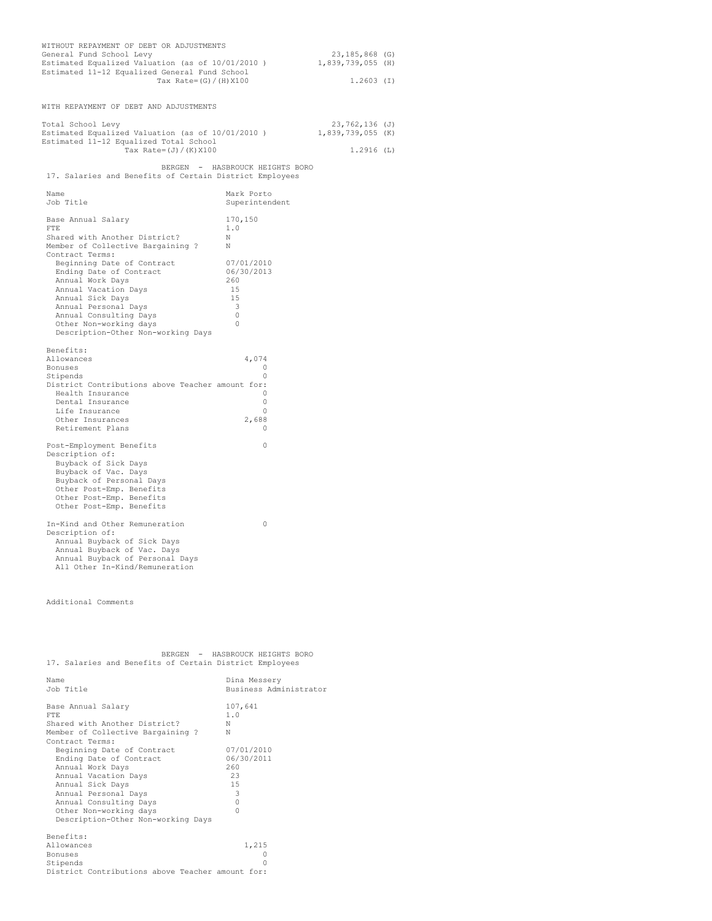| WITH REPAYMENT OF DEBT AND ADJUSTMENTS<br>Total School Levy<br>23,762,136 (J)<br>Estimated Equalized Valuation (as of 10/01/2010)<br>1,839,739,055 (K)<br>Estimated 11-12 Equalized Total School<br>Tax Rate= (J) / (K) X100<br>1.2916(L)<br>BERGEN - HASBROUCK HEIGHTS BORO<br>17. Salaries and Benefits of Certain District Employees<br>Name<br>Mark Porto<br>Job Title<br>Superintendent<br>170,150<br>Base Annual Salary<br><b>FTE</b><br>1.0<br>Shared with Another District?<br>N<br>Member of Collective Bargaining ?<br>N<br>Contract Terms:<br>Beginning Date of Contract<br>07/01/2010<br>Ending Date of Contract<br>06/30/2013<br>Annual Work Days<br>260<br>Annual Vacation Days<br>15<br>Annual Sick Days<br>15<br>Annual Personal Days<br>3<br>$\circ$<br>Annual Consulting Days<br>$\circ$<br>Other Non-working days<br>Description-Other Non-working Days<br>Benefits:<br>Allowances<br>4,074<br>Bonuses<br>O<br>$\Omega$<br>Stipends<br>District Contributions above Teacher amount for:<br>Health Insurance<br>0<br>Dental Insurance<br>0<br>Life Insurance<br>0<br>Other Insurances<br>2,688<br>Retirement Plans<br>$\Omega$<br>Post-Employment Benefits<br>0<br>Description of:<br>Buyback of Sick Days<br>Buyback of Vac. Days<br>Buyback of Personal Days<br>Other Post-Emp. Benefits<br>Other Post-Emp. Benefits<br>Other Post-Emp. Benefits<br>In-Kind and Other Remuneration<br>0<br>Description of:<br>Annual Buyback of Sick Days<br>Annual Buyback of Vac. Days<br>Annual Buyback of Personal Days | WITHOUT REPAYMENT OF DEBT OR ADJUSTMENTS<br>General Fund School Levy<br>Estimated Equalized Valuation (as of 10/01/2010)<br>Estimated 11-12 Equalized General Fund School<br>Tax Rate= $(G) / (H) X100$ | 23,185,868 (G)<br>1,839,739,055 (H)<br>$1.2603$ (I) |  |  |
|---------------------------------------------------------------------------------------------------------------------------------------------------------------------------------------------------------------------------------------------------------------------------------------------------------------------------------------------------------------------------------------------------------------------------------------------------------------------------------------------------------------------------------------------------------------------------------------------------------------------------------------------------------------------------------------------------------------------------------------------------------------------------------------------------------------------------------------------------------------------------------------------------------------------------------------------------------------------------------------------------------------------------------------------------------------------------------------------------------------------------------------------------------------------------------------------------------------------------------------------------------------------------------------------------------------------------------------------------------------------------------------------------------------------------------------------------------------------------------------------------------------------------------|---------------------------------------------------------------------------------------------------------------------------------------------------------------------------------------------------------|-----------------------------------------------------|--|--|
|                                                                                                                                                                                                                                                                                                                                                                                                                                                                                                                                                                                                                                                                                                                                                                                                                                                                                                                                                                                                                                                                                                                                                                                                                                                                                                                                                                                                                                                                                                                                 |                                                                                                                                                                                                         |                                                     |  |  |
|                                                                                                                                                                                                                                                                                                                                                                                                                                                                                                                                                                                                                                                                                                                                                                                                                                                                                                                                                                                                                                                                                                                                                                                                                                                                                                                                                                                                                                                                                                                                 |                                                                                                                                                                                                         |                                                     |  |  |
|                                                                                                                                                                                                                                                                                                                                                                                                                                                                                                                                                                                                                                                                                                                                                                                                                                                                                                                                                                                                                                                                                                                                                                                                                                                                                                                                                                                                                                                                                                                                 |                                                                                                                                                                                                         |                                                     |  |  |
|                                                                                                                                                                                                                                                                                                                                                                                                                                                                                                                                                                                                                                                                                                                                                                                                                                                                                                                                                                                                                                                                                                                                                                                                                                                                                                                                                                                                                                                                                                                                 |                                                                                                                                                                                                         |                                                     |  |  |
|                                                                                                                                                                                                                                                                                                                                                                                                                                                                                                                                                                                                                                                                                                                                                                                                                                                                                                                                                                                                                                                                                                                                                                                                                                                                                                                                                                                                                                                                                                                                 |                                                                                                                                                                                                         |                                                     |  |  |
|                                                                                                                                                                                                                                                                                                                                                                                                                                                                                                                                                                                                                                                                                                                                                                                                                                                                                                                                                                                                                                                                                                                                                                                                                                                                                                                                                                                                                                                                                                                                 |                                                                                                                                                                                                         |                                                     |  |  |
|                                                                                                                                                                                                                                                                                                                                                                                                                                                                                                                                                                                                                                                                                                                                                                                                                                                                                                                                                                                                                                                                                                                                                                                                                                                                                                                                                                                                                                                                                                                                 |                                                                                                                                                                                                         |                                                     |  |  |
|                                                                                                                                                                                                                                                                                                                                                                                                                                                                                                                                                                                                                                                                                                                                                                                                                                                                                                                                                                                                                                                                                                                                                                                                                                                                                                                                                                                                                                                                                                                                 |                                                                                                                                                                                                         |                                                     |  |  |
|                                                                                                                                                                                                                                                                                                                                                                                                                                                                                                                                                                                                                                                                                                                                                                                                                                                                                                                                                                                                                                                                                                                                                                                                                                                                                                                                                                                                                                                                                                                                 |                                                                                                                                                                                                         |                                                     |  |  |
|                                                                                                                                                                                                                                                                                                                                                                                                                                                                                                                                                                                                                                                                                                                                                                                                                                                                                                                                                                                                                                                                                                                                                                                                                                                                                                                                                                                                                                                                                                                                 |                                                                                                                                                                                                         |                                                     |  |  |
|                                                                                                                                                                                                                                                                                                                                                                                                                                                                                                                                                                                                                                                                                                                                                                                                                                                                                                                                                                                                                                                                                                                                                                                                                                                                                                                                                                                                                                                                                                                                 |                                                                                                                                                                                                         |                                                     |  |  |
|                                                                                                                                                                                                                                                                                                                                                                                                                                                                                                                                                                                                                                                                                                                                                                                                                                                                                                                                                                                                                                                                                                                                                                                                                                                                                                                                                                                                                                                                                                                                 |                                                                                                                                                                                                         |                                                     |  |  |
|                                                                                                                                                                                                                                                                                                                                                                                                                                                                                                                                                                                                                                                                                                                                                                                                                                                                                                                                                                                                                                                                                                                                                                                                                                                                                                                                                                                                                                                                                                                                 |                                                                                                                                                                                                         |                                                     |  |  |
|                                                                                                                                                                                                                                                                                                                                                                                                                                                                                                                                                                                                                                                                                                                                                                                                                                                                                                                                                                                                                                                                                                                                                                                                                                                                                                                                                                                                                                                                                                                                 |                                                                                                                                                                                                         |                                                     |  |  |
|                                                                                                                                                                                                                                                                                                                                                                                                                                                                                                                                                                                                                                                                                                                                                                                                                                                                                                                                                                                                                                                                                                                                                                                                                                                                                                                                                                                                                                                                                                                                 |                                                                                                                                                                                                         |                                                     |  |  |
|                                                                                                                                                                                                                                                                                                                                                                                                                                                                                                                                                                                                                                                                                                                                                                                                                                                                                                                                                                                                                                                                                                                                                                                                                                                                                                                                                                                                                                                                                                                                 |                                                                                                                                                                                                         |                                                     |  |  |
|                                                                                                                                                                                                                                                                                                                                                                                                                                                                                                                                                                                                                                                                                                                                                                                                                                                                                                                                                                                                                                                                                                                                                                                                                                                                                                                                                                                                                                                                                                                                 | All Other In-Kind/Remuneration                                                                                                                                                                          |                                                     |  |  |

Additional Comments

|  |  |  | BERGEN - HASBROUCK HEIGHTS BORO                         |  |
|--|--|--|---------------------------------------------------------|--|
|  |  |  | 17. Salaries and Benefits of Certain District Employees |  |

| Name                                             | Dina Messery           |
|--------------------------------------------------|------------------------|
| Job Title                                        | Business Administrator |
| Base Annual Salary                               | 107,641                |
| FTF.                                             | 1.0                    |
| Shared with Another District?                    | N                      |
| Member of Collective Bargaining ?                | N                      |
| Contract Terms:                                  |                        |
| Beginning Date of Contract                       | 07/01/2010             |
| Ending Date of Contract                          | 06/30/2011             |
| Annual Work Days                                 | 260                    |
| Annual Vacation Days                             | 23                     |
| Annual Sick Days                                 | 15                     |
| Annual Personal Days                             | 3                      |
| Annual Consulting Days                           | $\Omega$               |
| Other Non-working days                           | O                      |
| Description-Other Non-working Days               |                        |
| Benefits:                                        |                        |
| Allowances                                       | 1,215                  |
| Bonuses                                          |                        |
| Stipends                                         | Λ                      |
| District Contributions above Teacher amount for: |                        |